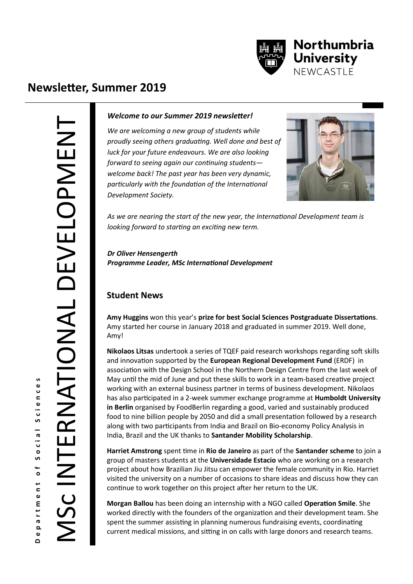

# **Newsletter, Summer 2019**

Department of Social Sciences<br>MSC INTERNATIONAL DEVELOPMENT SC INTERNATIONAL DEVELOPMENT

#### *Welcome to our Summer 2019 newsletter!*

*We are welcoming a new group of students while proudly seeing others graduating. Well done and best of luck for your future endeavours. We are also looking forward to seeing again our continuing students welcome back! The past year has been very dynamic, particularly with the foundation of the International Development Society.* 



*As we are nearing the start of the new year, the International Development team is looking forward to starting an exciting new term.* 

*Dr Oliver Hensengerth Programme Leader, MSc International Development* 

#### **Student News**

**Amy Huggins** won this year's **prize for best Social Sciences Postgraduate Dissertations**. Amy started her course in January 2018 and graduated in summer 2019. Well done, Amy!

**Nikolaos Litsas** undertook a series of TQEF paid research workshops regarding soft skills and innovation supported by the **European Regional Development Fund** (ERDF) in association with the Design School in the Northern Design Centre from the last week of May until the mid of June and put these skills to work in a team-based creative project working with an external business partner in terms of business development. Nikolaos has also participated in a 2-week summer exchange programme at **Humboldt University in Berlin** organised by FoodBerlin regarding a good, varied and sustainably produced food to nine billion people by 2050 and did a small presentation followed by a research along with two participants from India and Brazil on Bio-economy Policy Analysis in India, Brazil and the UK thanks to **Santander Mobility Scholarship**.

**Harriet Amstrong** spent time in **Rio de Janeiro** as part of the **Santander scheme** to join a group of masters students at the **Universidade Estacio** who are working on a research project about how Brazilian Jiu Jitsu can empower the female community in Rio. Harriet visited the university on a number of occasions to share ideas and discuss how they can continue to work together on this project after her return to the UK.

**Morgan Ballou** has been doing an internship with a NGO called **Operation Smile**. She worked directly with the founders of the organization and their development team. She spent the summer assisting in planning numerous fundraising events, coordinating current medical missions, and sitting in on calls with large donors and research teams.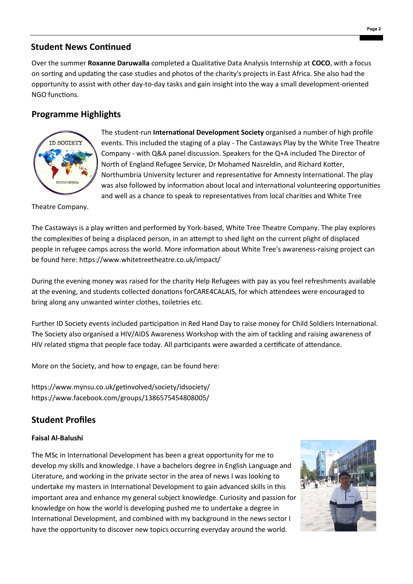### **Student News Continued**

Over the summer **Roxanne Daruwalla** completed a Qualitative Data Analysis Internship at **COCO**, with a focus on sorting and updating the case studies and photos of the charity's projects in East Africa. She also had the opportunity to assist with other day-to-day tasks and gain insight into the way a small development-oriented NGO functions.

## **Programme Highlights**



The student-run **International Development Society** organised a number of high profile events. This included the staging of a play - The Castaways Play by the White Tree Theatre Company - with Q&A panel discussion. Speakers for the Q+A included The Director of North of England Refugee Service, Dr Mohamed Nasreldin, and Richard Kotter, Northumbria University lecturer and representative for Amnesty International. The play was also followed by information about local and international volunteering opportunities and well as a chance to speak to representatives from local charities and White Tree

Theatre Company.

The Castaways is a play written and performed by York-based, White Tree Theatre Company. The play explores the complexities of being a displaced person, in an attempt to shed light on the current plight of displaced people in refugee camps across the world. More information about White Tree's awareness-raising project can be found here: https://www.whitetreetheatre.co.uk/impact/

During the evening money was raised for the charity Help Refugees with pay as you feel refreshments available at the evening, and students collected donations forCARE4CALAIS, for which attendees were encouraged to bring along any unwanted winter clothes, toiletries etc.

Further ID Society events included participation in Red Hand Day to raise money for Child Soldiers International. The Society also organised a HIV/AIDS Awareness Workshop with the aim of tackling and raising awareness of HIV related stigma that people face today. All participants were awarded a certificate of attendance.

More on the Society, and how to engage, can be found here:

https://www.mynsu.co.uk/getinvolved/society/idsociety/ https://www.facebook.com/groups/1386575454808005/

## **Student Profiles**

#### **Faisal Al-Balushi**

The MSc in International Development has been a great opportunity for me to develop my skills and knowledge. I have a bachelors degree in English Language and Literature, and working in the private sector in the area of news I was looking to undertake my masters in International Development to gain advanced skills in this important area and enhance my general subject knowledge. Curiosity and passion for knowledge on how the world is developing pushed me to undertake a degree in International Development, and combined with my background in the news sector I have the opportunity to discover new topics occurring everyday around the world.

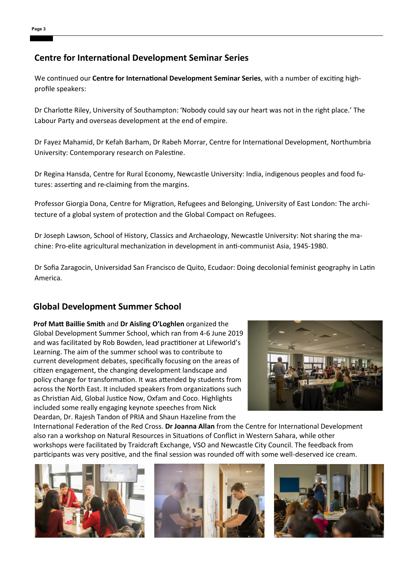#### **Centre for International Development Seminar Series**

We continued our **Centre for International Development Seminar Series**, with a number of exciting highprofile speakers:

Dr Charlotte Riley, University of Southampton: '[Nobody could say our heart was not in the right place.](https://northumbria-cdn.azureedge.net/-/media/labour-seminar.pdf?modified=20190121125344&la=en&hash=94AB3EC858EF66B1BAB4B3E63EE4AFCF35A35A75)' The [Labour Party and overseas development at the end of empire.](https://northumbria-cdn.azureedge.net/-/media/labour-seminar.pdf?modified=20190121125344&la=en&hash=94AB3EC858EF66B1BAB4B3E63EE4AFCF35A35A75)

Dr Fayez Mahamid, Dr Kefah Barham, Dr Rabeh Morrar, Centre for International Development, Northumbria University: Contemporary research on Palestine.

Dr Regina Hansda, Centre for Rural Economy, Newcastle University: India, indigenous peoples and food futures: asserting and re-claiming from the margins.

Professor Giorgia Dona, Centre for Migration, Refugees and Belonging, University of East London: The architecture of a global system of protection and the Global Compact on Refugees.

Dr Joseph Lawson, School of History, Classics and Archaeology, Newcastle University: Not sharing the machine: Pro-elite agricultural mechanization in development in anti-communist Asia, 1945-1980.

Dr Sofia Zaragocin, Universidad San Francisco de Quito, Ecudaor: Doing decolonial feminist geography in Latin America.

## **Global Development Summer School**

**Prof Matt Baillie Smith** and **Dr Aisling O'Loghlen** organized the Global Development Summer School, which ran from 4-6 June 2019 and was facilitated by Rob Bowden, lead practitioner at Lifeworld's Learning. The aim of the summer school was to contribute to current development debates, specifically focusing on the areas of citizen engagement, the changing development landscape and policy change for transformation. It was attended by students from across the North East. It included speakers from organizations such as Christian Aid, Global Justice Now, Oxfam and Coco. Highlights included some really engaging keynote speeches from Nick Deardan, Dr. Rajesh Tandon of PRIA and Shaun Hazeline from the



International Federation of the Red Cross. **Dr Joanna Allan** from the Centre for International Development also ran a workshop on Natural Resources in Situations of Conflict in Western Sahara, while other workshops were facilitated by Traidcraft Exchange, VSO and Newcastle City Council. The feedback from participants was very positive, and the final session was rounded off with some well-deserved ice cream.